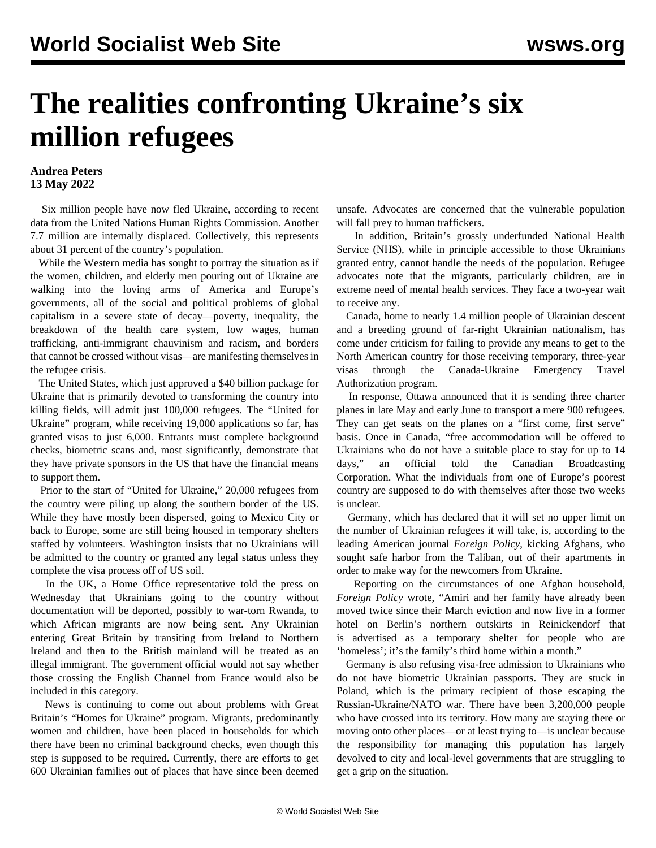## **The realities confronting Ukraine's six million refugees**

## **Andrea Peters 13 May 2022**

 Six million people have now fled Ukraine, according to recent data from the United Nations Human Rights Commission. Another 7.7 million are internally displaced. Collectively, this represents about 31 percent of the country's population.

 While the Western media has sought to portray the situation as if the women, children, and elderly men pouring out of Ukraine are walking into the loving arms of America and Europe's governments, all of the social and political problems of global capitalism in a severe state of decay—poverty, inequality, the breakdown of the health care system, low wages, human trafficking, anti-immigrant chauvinism and racism, and borders that cannot be crossed without visas—are manifesting themselves in the refugee crisis.

 The United States, which just approved a \$40 billion package for Ukraine that is primarily devoted to transforming the country into killing fields, will admit just 100,000 refugees. The "United for Ukraine" program, while receiving 19,000 applications so far, has granted visas to just 6,000. Entrants must complete background checks, biometric scans and, most significantly, demonstrate that they have private sponsors in the US that have the financial means to support them.

 Prior to the start of "United for Ukraine," 20,000 refugees from the country were piling up along the southern border of the US. While they have mostly been dispersed, going to Mexico City or back to Europe, some are still being housed in temporary shelters staffed by volunteers. Washington insists that no Ukrainians will be admitted to the country or granted any legal status unless they complete the visa process off of US soil.

 In the UK, a Home Office representative told the press on Wednesday that Ukrainians going to the country without documentation will be deported, possibly to war-torn Rwanda, to which African migrants are now being sent. Any Ukrainian entering Great Britain by transiting from Ireland to Northern Ireland and then to the British mainland will be treated as an illegal immigrant. The government official would not say whether those crossing the English Channel from France would also be included in this category.

 News is continuing to come out about problems with Great Britain's "Homes for Ukraine" program. Migrants, predominantly women and children, have been placed in households for which there have been no criminal background checks, even though this step is supposed to be required. Currently, there are efforts to get 600 Ukrainian families out of places that have since been deemed unsafe. Advocates are concerned that the vulnerable population will fall prey to human traffickers.

 In addition, Britain's grossly underfunded National Health Service (NHS), while in principle accessible to those Ukrainians granted entry, cannot handle the needs of the population. Refugee advocates note that the migrants, particularly children, are in extreme need of mental health services. They face a two-year wait to receive any.

 Canada, home to nearly 1.4 million people of Ukrainian descent and a breeding ground of far-right Ukrainian nationalism, has come under criticism for failing to provide any means to get to the North American country for those receiving temporary, three-year visas through the Canada-Ukraine Emergency Travel Authorization program.

 In response, Ottawa announced that it is sending three charter planes in late May and early June to transport a mere 900 refugees. They can get seats on the planes on a "first come, first serve" basis. Once in Canada, "free accommodation will be offered to Ukrainians who do not have a suitable place to stay for up to 14 days," an official told the Canadian Broadcasting Corporation. What the individuals from one of Europe's poorest country are supposed to do with themselves after those two weeks is unclear.

 Germany, which has declared that it will set no upper limit on the number of Ukrainian refugees it will take, is, according to the leading American journal *Foreign Policy*, kicking Afghans, who sought safe harbor from the Taliban, out of their apartments in order to make way for the newcomers from Ukraine.

 Reporting on the circumstances of one Afghan household, *Foreign Policy* wrote, "Amiri and her family have already been moved twice since their March eviction and now live in a former hotel on Berlin's northern outskirts in Reinickendorf that is advertised as a temporary shelter for people who are 'homeless'; it's the family's third home within a month."

 Germany is also refusing visa-free admission to Ukrainians who do not have biometric Ukrainian passports. They are stuck in Poland, which is the primary recipient of those escaping the Russian-Ukraine/NATO war. There have been 3,200,000 people who have crossed into its territory. How many are staying there or moving onto other places—or at least trying to—is unclear because the responsibility for managing this population has largely devolved to city and local-level governments that are struggling to get a grip on the situation.